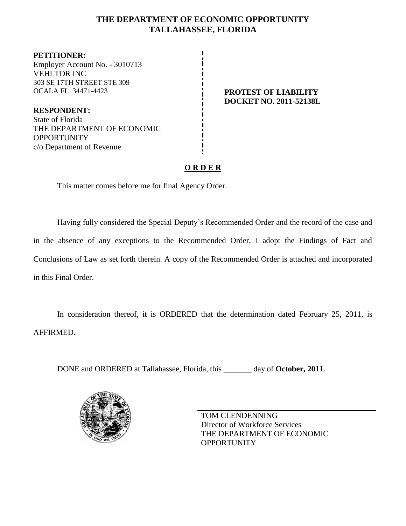# **THE DEPARTMENT OF ECONOMIC OPPORTUNITY TALLAHASSEE, FLORIDA**

**PETITIONER:** Employer Account No. - 3010713 VEHLTOR INC 303 SE 17TH STREET STE 309 OCALA FL 34471-4423 **PROTEST OF LIABILITY**

**RESPONDENT:** State of Florida THE DEPARTMENT OF ECONOMIC **OPPORTUNITY** c/o Department of Revenue

**DOCKET NO. 2011-52138L**

# **O R D E R**

This matter comes before me for final Agency Order.

Having fully considered the Special Deputy's Recommended Order and the record of the case and in the absence of any exceptions to the Recommended Order, I adopt the Findings of Fact and Conclusions of Law as set forth therein. A copy of the Recommended Order is attached and incorporated in this Final Order.

In consideration thereof, it is ORDERED that the determination dated February 25, 2011, is AFFIRMED.

DONE and ORDERED at Tallahassee, Florida, this **\_\_\_\_\_\_\_** day of **October, 2011**.



TOM CLENDENNING Director of Workforce Services THE DEPARTMENT OF ECONOMIC **OPPORTUNITY**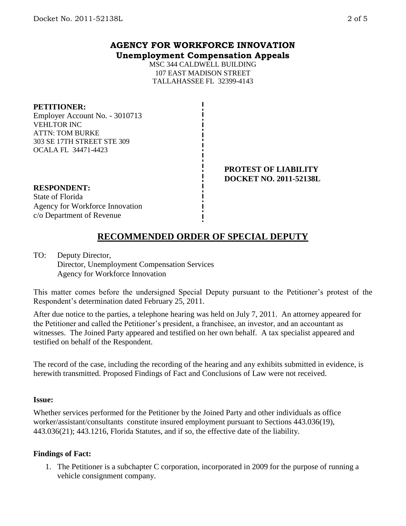# **AGENCY FOR WORKFORCE INNOVATION Unemployment Compensation Appeals**

MSC 344 CALDWELL BUILDING 107 EAST MADISON STREET TALLAHASSEE FL 32399-4143

### **PETITIONER:**

Employer Account No. - 3010713 VEHLTOR INC ATTN: TOM BURKE 303 SE 17TH STREET STE 309 OCALA FL 34471-4423

#### **PROTEST OF LIABILITY DOCKET NO. 2011-52138L**

## **RESPONDENT:**

State of Florida Agency for Workforce Innovation c/o Department of Revenue

# **RECOMMENDED ORDER OF SPECIAL DEPUTY**

TO: Deputy Director, Director, Unemployment Compensation Services Agency for Workforce Innovation

This matter comes before the undersigned Special Deputy pursuant to the Petitioner's protest of the Respondent's determination dated February 25, 2011.

After due notice to the parties, a telephone hearing was held on July 7, 2011. An attorney appeared for the Petitioner and called the Petitioner's president, a franchisee, an investor, and an accountant as witnesses. The Joined Party appeared and testified on her own behalf. A tax specialist appeared and testified on behalf of the Respondent.

The record of the case, including the recording of the hearing and any exhibits submitted in evidence, is herewith transmitted. Proposed Findings of Fact and Conclusions of Law were not received.

#### **Issue:**

Whether services performed for the Petitioner by the Joined Party and other individuals as office worker/assistant/consultants constitute insured employment pursuant to Sections 443.036(19), 443.036(21); 443.1216, Florida Statutes, and if so, the effective date of the liability.

## **Findings of Fact:**

1. The Petitioner is a subchapter C corporation, incorporated in 2009 for the purpose of running a vehicle consignment company.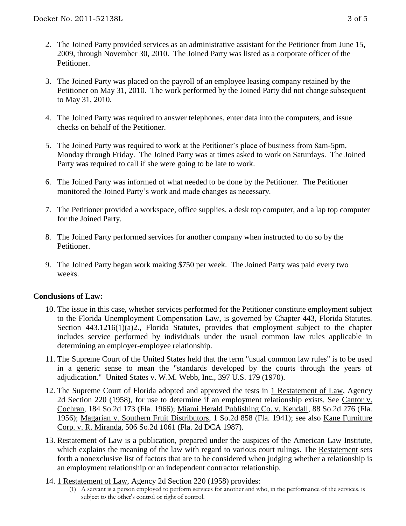- 2. The Joined Party provided services as an administrative assistant for the Petitioner from June 15, 2009, through November 30, 2010. The Joined Party was listed as a corporate officer of the Petitioner.
- 3. The Joined Party was placed on the payroll of an employee leasing company retained by the Petitioner on May 31, 2010. The work performed by the Joined Party did not change subsequent to May 31, 2010.
- 4. The Joined Party was required to answer telephones, enter data into the computers, and issue checks on behalf of the Petitioner.
- 5. The Joined Party was required to work at the Petitioner's place of business from 8am-5pm, Monday through Friday. The Joined Party was at times asked to work on Saturdays. The Joined Party was required to call if she were going to be late to work.
- 6. The Joined Party was informed of what needed to be done by the Petitioner. The Petitioner monitored the Joined Party's work and made changes as necessary.
- 7. The Petitioner provided a workspace, office supplies, a desk top computer, and a lap top computer for the Joined Party.
- 8. The Joined Party performed services for another company when instructed to do so by the Petitioner.
- 9. The Joined Party began work making \$750 per week. The Joined Party was paid every two weeks.

# **Conclusions of Law:**

- 10. The issue in this case, whether services performed for the Petitioner constitute employment subject to the Florida Unemployment Compensation Law, is governed by Chapter 443, Florida Statutes. Section 443.1216(1)(a)2., Florida Statutes, provides that employment subject to the chapter includes service performed by individuals under the usual common law rules applicable in determining an employer-employee relationship.
- 11. The Supreme Court of the United States held that the term "usual common law rules" is to be used in a generic sense to mean the "standards developed by the courts through the years of adjudication." United States v. W.M. Webb, Inc., 397 U.S. 179 (1970).
- 12. The Supreme Court of Florida adopted and approved the tests in 1 Restatement of Law, Agency 2d Section 220 (1958), for use to determine if an employment relationship exists. See Cantor v. Cochran, 184 So.2d 173 (Fla. 1966); Miami Herald Publishing Co. v. Kendall, 88 So.2d 276 (Fla. 1956); Magarian v. Southern Fruit Distributors, 1 So.2d 858 (Fla. 1941); see also Kane Furniture Corp. v. R. Miranda, 506 So.2d 1061 (Fla. 2d DCA 1987).
- 13. Restatement of Law is a publication, prepared under the auspices of the American Law Institute, which explains the meaning of the law with regard to various court rulings. The Restatement sets forth a nonexclusive list of factors that are to be considered when judging whether a relationship is an employment relationship or an independent contractor relationship.
- 14. 1 Restatement of Law, Agency 2d Section 220 (1958) provides:
	- (1) A servant is a person employed to perform services for another and who, in the performance of the services, is subject to the other's control or right of control.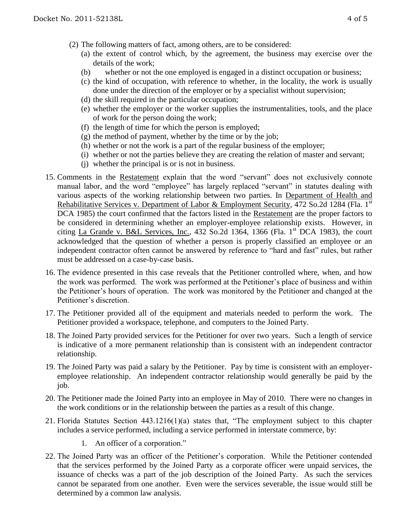- (2) The following matters of fact, among others, are to be considered:
	- (a) the extent of control which, by the agreement, the business may exercise over the details of the work;
	- (b) whether or not the one employed is engaged in a distinct occupation or business;
	- (c) the kind of occupation, with reference to whether, in the locality, the work is usually done under the direction of the employer or by a specialist without supervision;
	- (d) the skill required in the particular occupation;
	- (e) whether the employer or the worker supplies the instrumentalities, tools, and the place of work for the person doing the work;
	- (f) the length of time for which the person is employed;
	- $(g)$  the method of payment, whether by the time or by the job;
	- (h) whether or not the work is a part of the regular business of the employer;
	- (i) whether or not the parties believe they are creating the relation of master and servant;
	- (j) whether the principal is or is not in business.
- 15. Comments in the Restatement explain that the word "servant" does not exclusively connote manual labor, and the word "employee" has largely replaced "servant" in statutes dealing with various aspects of the working relationship between two parties. In Department of Health and Rehabilitative Services v. Department of Labor & Employment Security, 472 So.2d 1284 (Fla. 1<sup>st</sup> DCA 1985) the court confirmed that the factors listed in the Restatement are the proper factors to be considered in determining whether an employer-employee relationship exists. However, in citing La Grande v. B&L Services, Inc., 432 So.2d 1364, 1366 (Fla. 1st DCA 1983), the court acknowledged that the question of whether a person is properly classified an employee or an independent contractor often cannot be answered by reference to "hard and fast" rules, but rather must be addressed on a case-by-case basis.
- 16. The evidence presented in this case reveals that the Petitioner controlled where, when, and how the work was performed. The work was performed at the Petitioner's place of business and within the Petitioner's hours of operation. The work was monitored by the Petitioner and changed at the Petitioner's discretion.
- 17. The Petitioner provided all of the equipment and materials needed to perform the work. The Petitioner provided a workspace, telephone, and computers to the Joined Party.
- 18. The Joined Party provided services for the Petitioner for over two years. Such a length of service is indicative of a more permanent relationship than is consistent with an independent contractor relationship.
- 19. The Joined Party was paid a salary by the Petitioner. Pay by time is consistent with an employeremployee relationship. An independent contractor relationship would generally be paid by the job.
- 20. The Petitioner made the Joined Party into an employee in May of 2010. There were no changes in the work conditions or in the relationship between the parties as a result of this change.
- 21. Florida Statutes Section 443.1216(1)(a) states that, "The employment subject to this chapter includes a service performed, including a service performed in interstate commerce, by:
	- 1. An officer of a corporation."
- 22. The Joined Party was an officer of the Petitioner's corporation. While the Petitioner contended that the services performed by the Joined Party as a corporate officer were unpaid services, the issuance of checks was a part of the job description of the Joined Party. As such the services cannot be separated from one another. Even were the services severable, the issue would still be determined by a common law analysis.